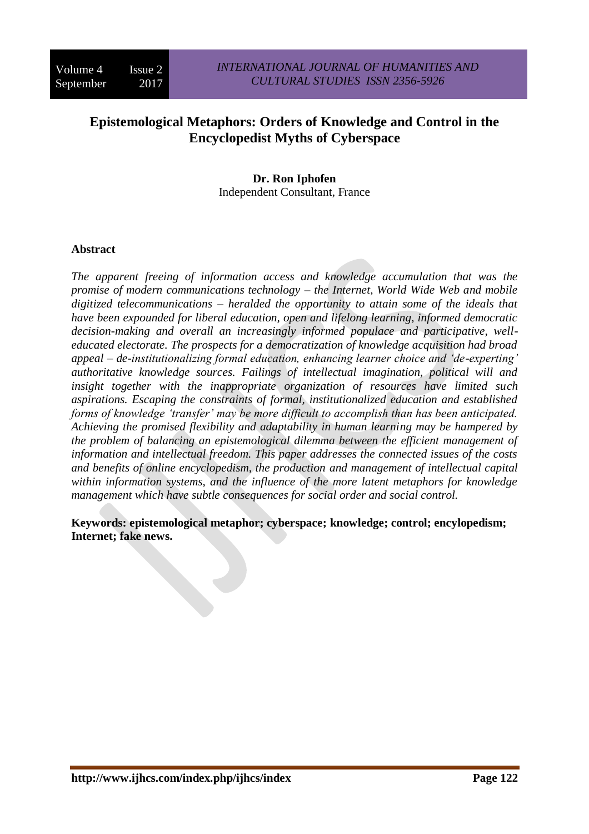# **Epistemological Metaphors: Orders of Knowledge and Control in the Encyclopedist Myths of Cyberspace**

# **Dr. Ron Iphofen**

Independent Consultant, France

## **Abstract**

*The apparent freeing of information access and knowledge accumulation that was the promise of modern communications technology – the Internet, World Wide Web and mobile digitized telecommunications – heralded the opportunity to attain some of the ideals that have been expounded for liberal education, open and lifelong learning, informed democratic decision-making and overall an increasingly informed populace and participative, welleducated electorate. The prospects for a democratization of knowledge acquisition had broad appeal – de-institutionalizing formal education, enhancing learner choice and 'de-experting' authoritative knowledge sources. Failings of intellectual imagination, political will and insight together with the inappropriate organization of resources have limited such aspirations. Escaping the constraints of formal, institutionalized education and established forms of knowledge 'transfer' may be more difficult to accomplish than has been anticipated. Achieving the promised flexibility and adaptability in human learning may be hampered by the problem of balancing an epistemological dilemma between the efficient management of information and intellectual freedom. This paper addresses the connected issues of the costs and benefits of online encyclopedism, the production and management of intellectual capital within information systems, and the influence of the more latent metaphors for knowledge management which have subtle consequences for social order and social control.*

**Keywords: epistemological metaphor; cyberspace; knowledge; control; encylopedism; Internet; fake news.**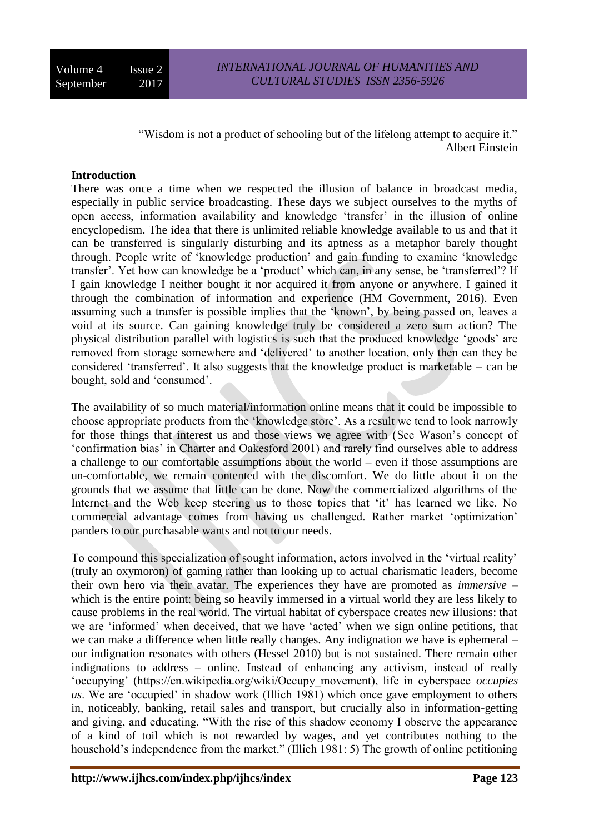"Wisdom is not a product of schooling but of the lifelong attempt to acquire it." Albert Einstein

### **Introduction**

There was once a time when we respected the illusion of balance in broadcast media, especially in public service broadcasting. These days we subject ourselves to the myths of open access, information availability and knowledge 'transfer' in the illusion of online encyclopedism. The idea that there is unlimited reliable knowledge available to us and that it can be transferred is singularly disturbing and its aptness as a metaphor barely thought through. People write of 'knowledge production' and gain funding to examine 'knowledge transfer'. Yet how can knowledge be a 'product' which can, in any sense, be 'transferred'? If I gain knowledge I neither bought it nor acquired it from anyone or anywhere. I gained it through the combination of information and experience (HM Government, 2016). Even assuming such a transfer is possible implies that the 'known', by being passed on, leaves a void at its source. Can gaining knowledge truly be considered a zero sum action? The physical distribution parallel with logistics is such that the produced knowledge 'goods' are removed from storage somewhere and 'delivered' to another location, only then can they be considered 'transferred'. It also suggests that the knowledge product is marketable – can be bought, sold and 'consumed'.

The availability of so much material/information online means that it could be impossible to choose appropriate products from the 'knowledge store'. As a result we tend to look narrowly for those things that interest us and those views we agree with (See Wason's concept of 'confirmation bias' in Charter and Oakesford 2001) and rarely find ourselves able to address a challenge to our comfortable assumptions about the world – even if those assumptions are un-comfortable, we remain contented with the discomfort. We do little about it on the grounds that we assume that little can be done. Now the commercialized algorithms of the Internet and the Web keep steering us to those topics that 'it' has learned we like. No commercial advantage comes from having us challenged. Rather market 'optimization' panders to our purchasable wants and not to our needs.

To compound this specialization of sought information, actors involved in the 'virtual reality' (truly an oxymoron) of gaming rather than looking up to actual charismatic leaders, become their own hero via their avatar. The experiences they have are promoted as *immersive* – which is the entire point: being so heavily immersed in a virtual world they are less likely to cause problems in the real world. The virtual habitat of cyberspace creates new illusions: that we are 'informed' when deceived, that we have 'acted' when we sign online petitions, that we can make a difference when little really changes. Any indignation we have is ephemeral – our indignation resonates with others (Hessel 2010) but is not sustained. There remain other indignations to address – online. Instead of enhancing any activism, instead of really 'occupying' (https://en.wikipedia.org/wiki/Occupy\_movement), life in cyberspace *occupies us*. We are 'occupied' in shadow work (Illich 1981) which once gave employment to others in, noticeably, banking, retail sales and transport, but crucially also in information-getting and giving, and educating. "With the rise of this shadow economy I observe the appearance of a kind of toil which is not rewarded by wages, and yet contributes nothing to the household's independence from the market." (Illich 1981: 5) The growth of online petitioning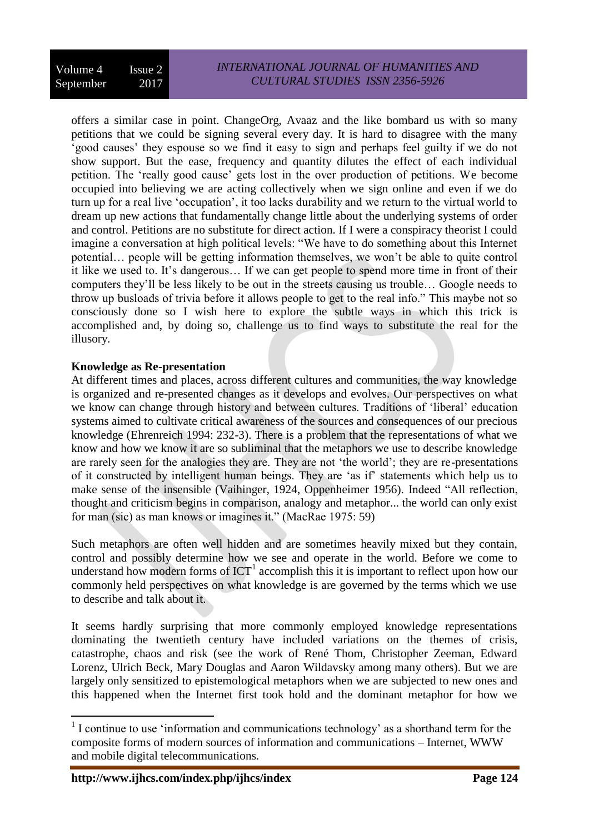offers a similar case in point. ChangeOrg, Avaaz and the like bombard us with so many petitions that we could be signing several every day. It is hard to disagree with the many 'good causes' they espouse so we find it easy to sign and perhaps feel guilty if we do not show support. But the ease, frequency and quantity dilutes the effect of each individual petition. The 'really good cause' gets lost in the over production of petitions. We become occupied into believing we are acting collectively when we sign online and even if we do turn up for a real live 'occupation', it too lacks durability and we return to the virtual world to dream up new actions that fundamentally change little about the underlying systems of order and control. Petitions are no substitute for direct action. If I were a conspiracy theorist I could imagine a conversation at high political levels: "We have to do something about this Internet potential… people will be getting information themselves, we won't be able to quite control it like we used to. It's dangerous… If we can get people to spend more time in front of their computers they'll be less likely to be out in the streets causing us trouble… Google needs to throw up busloads of trivia before it allows people to get to the real info." This maybe not so consciously done so I wish here to explore the subtle ways in which this trick is accomplished and, by doing so, challenge us to find ways to substitute the real for the illusory.

## **Knowledge as Re-presentation**

At different times and places, across different cultures and communities, the way knowledge is organized and re-presented changes as it develops and evolves. Our perspectives on what we know can change through history and between cultures. Traditions of 'liberal' education systems aimed to cultivate critical awareness of the sources and consequences of our precious knowledge (Ehrenreich 1994: 232-3). There is a problem that the representations of what we know and how we know it are so subliminal that the metaphors we use to describe knowledge are rarely seen for the analogies they are. They are not 'the world'; they are re-presentations of it constructed by intelligent human beings. They are 'as if' statements which help us to make sense of the insensible (Vaihinger, 1924, Oppenheimer 1956). Indeed "All reflection, thought and criticism begins in comparison, analogy and metaphor... the world can only exist for man (sic) as man knows or imagines it." (MacRae 1975: 59)

Such metaphors are often well hidden and are sometimes heavily mixed but they contain, control and possibly determine how we see and operate in the world. Before we come to understand how modern forms of  $\text{ICT}^1$  accomplish this it is important to reflect upon how our commonly held perspectives on what knowledge is are governed by the terms which we use to describe and talk about it.

It seems hardly surprising that more commonly employed knowledge representations dominating the twentieth century have included variations on the themes of crisis, catastrophe, chaos and risk (see the work of René Thom, Christopher Zeeman, Edward Lorenz, Ulrich Beck, Mary Douglas and Aaron Wildavsky among many others). But we are largely only sensitized to epistemological metaphors when we are subjected to new ones and this happened when the Internet first took hold and the dominant metaphor for how we

 $\overline{a}$  $<sup>1</sup>$  I continue to use 'information and communications technology' as a shorthand term for the</sup> composite forms of modern sources of information and communications – Internet, WWW and mobile digital telecommunications.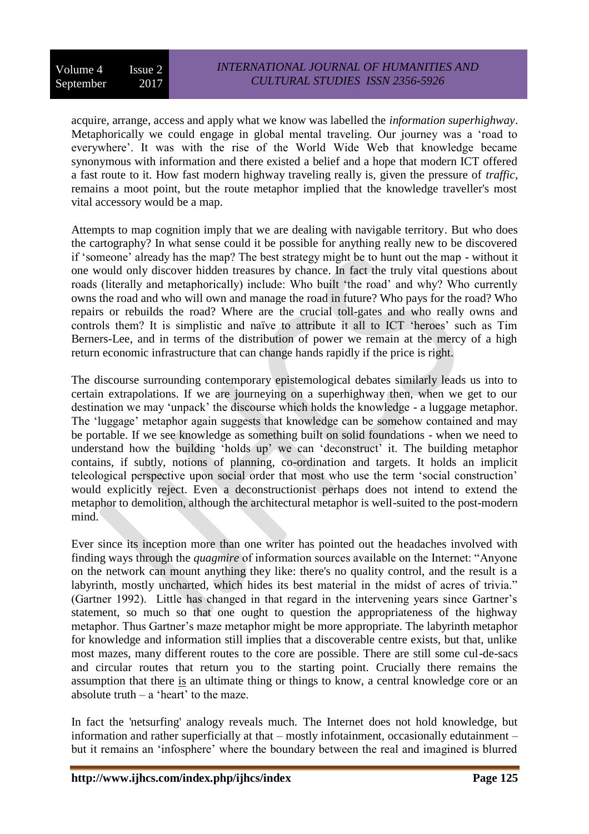acquire, arrange, access and apply what we know was labelled the *information superhighway*. Metaphorically we could engage in global mental traveling. Our journey was a 'road to everywhere'. It was with the rise of the World Wide Web that knowledge became synonymous with information and there existed a belief and a hope that modern ICT offered a fast route to it. How fast modern highway traveling really is, given the pressure of *traffic*, remains a moot point, but the route metaphor implied that the knowledge traveller's most vital accessory would be a map.

Attempts to map cognition imply that we are dealing with navigable territory. But who does the cartography? In what sense could it be possible for anything really new to be discovered if 'someone' already has the map? The best strategy might be to hunt out the map - without it one would only discover hidden treasures by chance. In fact the truly vital questions about roads (literally and metaphorically) include: Who built 'the road' and why? Who currently owns the road and who will own and manage the road in future? Who pays for the road? Who repairs or rebuilds the road? Where are the crucial toll-gates and who really owns and controls them? It is simplistic and naïve to attribute it all to ICT 'heroes' such as Tim Berners-Lee, and in terms of the distribution of power we remain at the mercy of a high return economic infrastructure that can change hands rapidly if the price is right.

The discourse surrounding contemporary epistemological debates similarly leads us into to certain extrapolations. If we are journeying on a superhighway then, when we get to our destination we may 'unpack' the discourse which holds the knowledge - a luggage metaphor. The 'luggage' metaphor again suggests that knowledge can be somehow contained and may be portable. If we see knowledge as something built on solid foundations - when we need to understand how the building 'holds up' we can 'deconstruct' it. The building metaphor contains, if subtly, notions of planning, co-ordination and targets. It holds an implicit teleological perspective upon social order that most who use the term 'social construction' would explicitly reject. Even a deconstructionist perhaps does not intend to extend the metaphor to demolition, although the architectural metaphor is well-suited to the post-modern mind.

Ever since its inception more than one writer has pointed out the headaches involved with finding ways through the *quagmire* of information sources available on the Internet: "Anyone on the network can mount anything they like: there's no quality control, and the result is a labyrinth, mostly uncharted, which hides its best material in the midst of acres of trivia." (Gartner 1992). Little has changed in that regard in the intervening years since Gartner's statement, so much so that one ought to question the appropriateness of the highway metaphor. Thus Gartner's maze metaphor might be more appropriate. The labyrinth metaphor for knowledge and information still implies that a discoverable centre exists, but that, unlike most mazes, many different routes to the core are possible. There are still some cul-de-sacs and circular routes that return you to the starting point. Crucially there remains the assumption that there is an ultimate thing or things to know, a central knowledge core or an absolute truth  $-$  a 'heart' to the maze.

In fact the 'netsurfing' analogy reveals much. The Internet does not hold knowledge, but information and rather superficially at that – mostly infotainment, occasionally edutainment – but it remains an 'infosphere' where the boundary between the real and imagined is blurred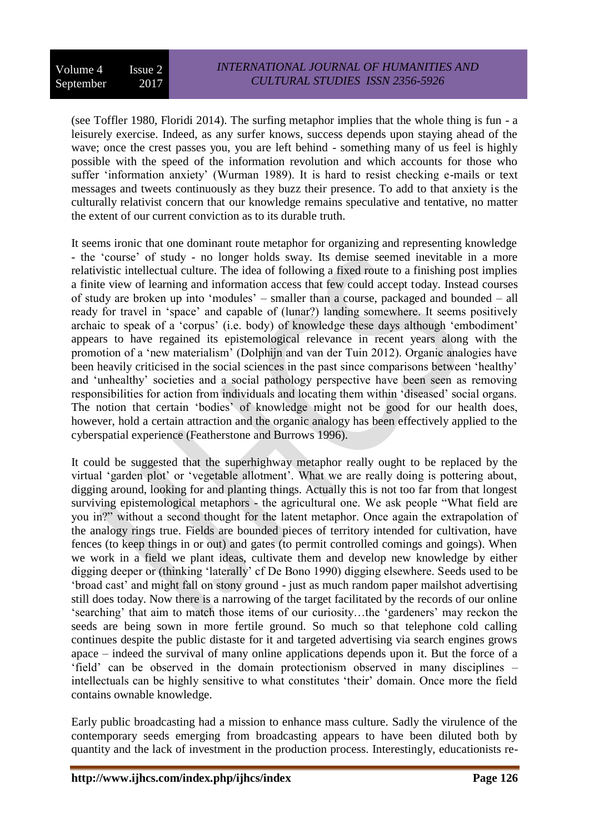(see Toffler 1980, Floridi 2014). The surfing metaphor implies that the whole thing is fun - a leisurely exercise. Indeed, as any surfer knows, success depends upon staying ahead of the wave; once the crest passes you, you are left behind - something many of us feel is highly possible with the speed of the information revolution and which accounts for those who suffer 'information anxiety' (Wurman 1989). It is hard to resist checking e-mails or text messages and tweets continuously as they buzz their presence. To add to that anxiety is the culturally relativist concern that our knowledge remains speculative and tentative, no matter the extent of our current conviction as to its durable truth.

It seems ironic that one dominant route metaphor for organizing and representing knowledge - the 'course' of study - no longer holds sway. Its demise seemed inevitable in a more relativistic intellectual culture. The idea of following a fixed route to a finishing post implies a finite view of learning and information access that few could accept today. Instead courses of study are broken up into 'modules' – smaller than a course, packaged and bounded – all ready for travel in 'space' and capable of (lunar?) landing somewhere. It seems positively archaic to speak of a 'corpus' (i.e. body) of knowledge these days although 'embodiment' appears to have regained its epistemological relevance in recent years along with the promotion of a 'new materialism' (Dolphijn and van der Tuin 2012). Organic analogies have been heavily criticised in the social sciences in the past since comparisons between 'healthy' and 'unhealthy' societies and a social pathology perspective have been seen as removing responsibilities for action from individuals and locating them within 'diseased' social organs. The notion that certain 'bodies' of knowledge might not be good for our health does, however, hold a certain attraction and the organic analogy has been effectively applied to the cyberspatial experience (Featherstone and Burrows 1996).

It could be suggested that the superhighway metaphor really ought to be replaced by the virtual 'garden plot' or 'vegetable allotment'. What we are really doing is pottering about, digging around, looking for and planting things. Actually this is not too far from that longest surviving epistemological metaphors - the agricultural one. We ask people "What field are you in?" without a second thought for the latent metaphor. Once again the extrapolation of the analogy rings true. Fields are bounded pieces of territory intended for cultivation, have fences (to keep things in or out) and gates (to permit controlled comings and goings). When we work in a field we plant ideas, cultivate them and develop new knowledge by either digging deeper or (thinking 'laterally' cf De Bono 1990) digging elsewhere. Seeds used to be 'broad cast' and might fall on stony ground - just as much random paper mailshot advertising still does today. Now there is a narrowing of the target facilitated by the records of our online 'searching' that aim to match those items of our curiosity…the 'gardeners' may reckon the seeds are being sown in more fertile ground. So much so that telephone cold calling continues despite the public distaste for it and targeted advertising via search engines grows apace – indeed the survival of many online applications depends upon it. But the force of a 'field' can be observed in the domain protectionism observed in many disciplines – intellectuals can be highly sensitive to what constitutes 'their' domain. Once more the field contains ownable knowledge.

Early public broadcasting had a mission to enhance mass culture. Sadly the virulence of the contemporary seeds emerging from broadcasting appears to have been diluted both by quantity and the lack of investment in the production process. Interestingly, educationists re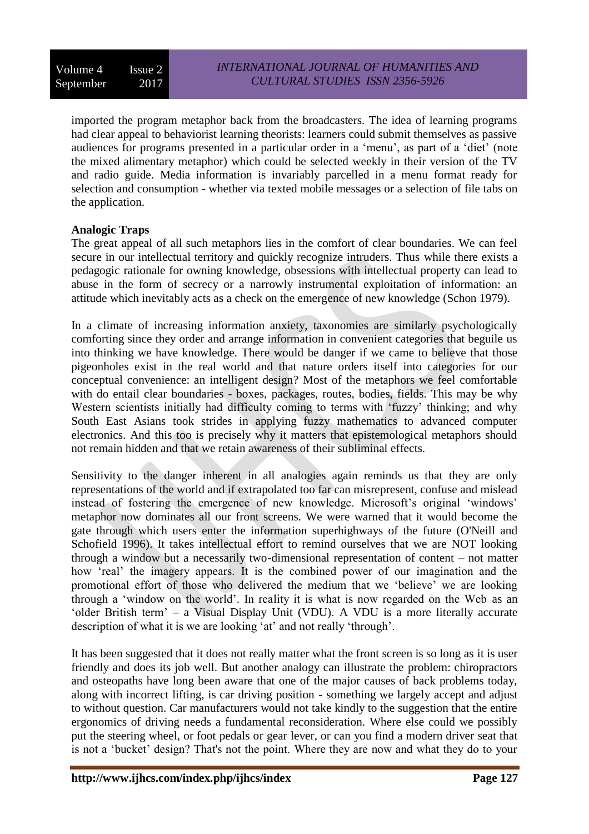imported the program metaphor back from the broadcasters. The idea of learning programs had clear appeal to behaviorist learning theorists: learners could submit themselves as passive audiences for programs presented in a particular order in a 'menu', as part of a 'diet' (note the mixed alimentary metaphor) which could be selected weekly in their version of the TV and radio guide. Media information is invariably parcelled in a menu format ready for selection and consumption - whether via texted mobile messages or a selection of file tabs on the application.

## **Analogic Traps**

The great appeal of all such metaphors lies in the comfort of clear boundaries. We can feel secure in our intellectual territory and quickly recognize intruders. Thus while there exists a pedagogic rationale for owning knowledge, obsessions with intellectual property can lead to abuse in the form of secrecy or a narrowly instrumental exploitation of information: an attitude which inevitably acts as a check on the emergence of new knowledge (Schon 1979).

In a climate of increasing information anxiety, taxonomies are similarly psychologically comforting since they order and arrange information in convenient categories that beguile us into thinking we have knowledge. There would be danger if we came to believe that those pigeonholes exist in the real world and that nature orders itself into categories for our conceptual convenience: an intelligent design? Most of the metaphors we feel comfortable with do entail clear boundaries - boxes, packages, routes, bodies, fields. This may be why Western scientists initially had difficulty coming to terms with 'fuzzy' thinking; and why South East Asians took strides in applying fuzzy mathematics to advanced computer electronics. And this too is precisely why it matters that epistemological metaphors should not remain hidden and that we retain awareness of their subliminal effects.

Sensitivity to the danger inherent in all analogies again reminds us that they are only representations of the world and if extrapolated too far can misrepresent, confuse and mislead instead of fostering the emergence of new knowledge. Microsoft's original 'windows' metaphor now dominates all our front screens. We were warned that it would become the gate through which users enter the information superhighways of the future (O'Neill and Schofield 1996). It takes intellectual effort to remind ourselves that we are NOT looking through a window but a necessarily two-dimensional representation of content – not matter how 'real' the imagery appears. It is the combined power of our imagination and the promotional effort of those who delivered the medium that we 'believe' we are looking through a 'window on the world'. In reality it is what is now regarded on the Web as an 'older British term' – a Visual Display Unit (VDU). A VDU is a more literally accurate description of what it is we are looking 'at' and not really 'through'.

It has been suggested that it does not really matter what the front screen is so long as it is user friendly and does its job well. But another analogy can illustrate the problem: chiropractors and osteopaths have long been aware that one of the major causes of back problems today, along with incorrect lifting, is car driving position - something we largely accept and adjust to without question. Car manufacturers would not take kindly to the suggestion that the entire ergonomics of driving needs a fundamental reconsideration. Where else could we possibly put the steering wheel, or foot pedals or gear lever, or can you find a modern driver seat that is not a 'bucket' design? That's not the point. Where they are now and what they do to your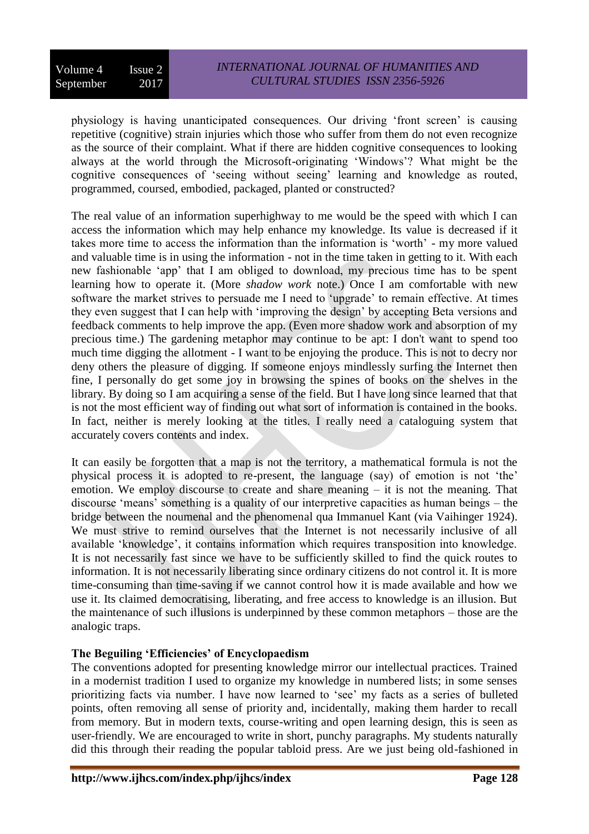physiology is having unanticipated consequences. Our driving 'front screen' is causing repetitive (cognitive) strain injuries which those who suffer from them do not even recognize as the source of their complaint. What if there are hidden cognitive consequences to looking always at the world through the Microsoft-originating 'Windows'? What might be the cognitive consequences of 'seeing without seeing' learning and knowledge as routed, programmed, coursed, embodied, packaged, planted or constructed?

The real value of an information superhighway to me would be the speed with which I can access the information which may help enhance my knowledge. Its value is decreased if it takes more time to access the information than the information is 'worth' - my more valued and valuable time is in using the information - not in the time taken in getting to it. With each new fashionable 'app' that I am obliged to download, my precious time has to be spent learning how to operate it. (More *shadow work* note.) Once I am comfortable with new software the market strives to persuade me I need to 'upgrade' to remain effective. At times they even suggest that I can help with 'improving the design' by accepting Beta versions and feedback comments to help improve the app. (Even more shadow work and absorption of my precious time.) The gardening metaphor may continue to be apt: I don't want to spend too much time digging the allotment - I want to be enjoying the produce. This is not to decry nor deny others the pleasure of digging. If someone enjoys mindlessly surfing the Internet then fine, I personally do get some joy in browsing the spines of books on the shelves in the library. By doing so I am acquiring a sense of the field. But I have long since learned that that is not the most efficient way of finding out what sort of information is contained in the books. In fact, neither is merely looking at the titles. I really need a cataloguing system that accurately covers contents and index.

It can easily be forgotten that a map is not the territory, a mathematical formula is not the physical process it is adopted to re-present, the language (say) of emotion is not 'the' emotion. We employ discourse to create and share meaning – it is not the meaning. That discourse 'means' something is a quality of our interpretive capacities as human beings – the bridge between the noumenal and the phenomenal qua Immanuel Kant (via Vaihinger 1924). We must strive to remind ourselves that the Internet is not necessarily inclusive of all available 'knowledge', it contains information which requires transposition into knowledge. It is not necessarily fast since we have to be sufficiently skilled to find the quick routes to information. It is not necessarily liberating since ordinary citizens do not control it. It is more time-consuming than time-saving if we cannot control how it is made available and how we use it. Its claimed democratising, liberating, and free access to knowledge is an illusion. But the maintenance of such illusions is underpinned by these common metaphors – those are the analogic traps.

# **The Beguiling 'Efficiencies' of Encyclopaedism**

The conventions adopted for presenting knowledge mirror our intellectual practices. Trained in a modernist tradition I used to organize my knowledge in numbered lists; in some senses prioritizing facts via number. I have now learned to 'see' my facts as a series of bulleted points, often removing all sense of priority and, incidentally, making them harder to recall from memory. But in modern texts, course-writing and open learning design, this is seen as user-friendly. We are encouraged to write in short, punchy paragraphs. My students naturally did this through their reading the popular tabloid press. Are we just being old-fashioned in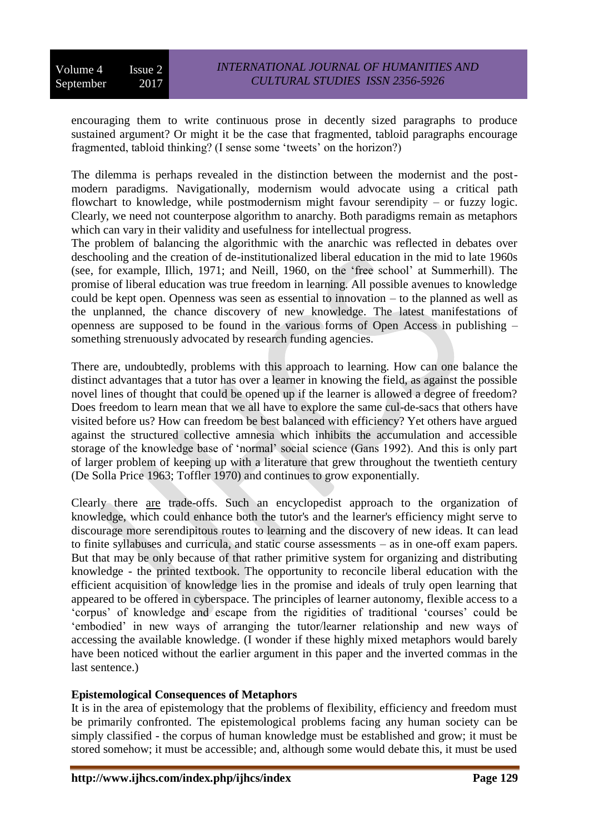encouraging them to write continuous prose in decently sized paragraphs to produce sustained argument? Or might it be the case that fragmented, tabloid paragraphs encourage fragmented, tabloid thinking? (I sense some 'tweets' on the horizon?)

The dilemma is perhaps revealed in the distinction between the modernist and the postmodern paradigms. Navigationally, modernism would advocate using a critical path flowchart to knowledge, while postmodernism might favour serendipity – or fuzzy logic. Clearly, we need not counterpose algorithm to anarchy. Both paradigms remain as metaphors which can vary in their validity and usefulness for intellectual progress.

The problem of balancing the algorithmic with the anarchic was reflected in debates over deschooling and the creation of de-institutionalized liberal education in the mid to late 1960s (see, for example, Illich, 1971; and Neill, 1960, on the 'free school' at Summerhill). The promise of liberal education was true freedom in learning. All possible avenues to knowledge could be kept open. Openness was seen as essential to innovation – to the planned as well as the unplanned, the chance discovery of new knowledge. The latest manifestations of openness are supposed to be found in the various forms of Open Access in publishing – something strenuously advocated by research funding agencies.

There are, undoubtedly, problems with this approach to learning. How can one balance the distinct advantages that a tutor has over a learner in knowing the field, as against the possible novel lines of thought that could be opened up if the learner is allowed a degree of freedom? Does freedom to learn mean that we all have to explore the same cul-de-sacs that others have visited before us? How can freedom be best balanced with efficiency? Yet others have argued against the structured collective amnesia which inhibits the accumulation and accessible storage of the knowledge base of 'normal' social science (Gans 1992). And this is only part of larger problem of keeping up with a literature that grew throughout the twentieth century (De Solla Price 1963; Toffler 1970) and continues to grow exponentially.

Clearly there are trade-offs. Such an encyclopedist approach to the organization of knowledge, which could enhance both the tutor's and the learner's efficiency might serve to discourage more serendipitous routes to learning and the discovery of new ideas. It can lead to finite syllabuses and curricula, and static course assessments – as in one-off exam papers. But that may be only because of that rather primitive system for organizing and distributing knowledge - the printed textbook. The opportunity to reconcile liberal education with the efficient acquisition of knowledge lies in the promise and ideals of truly open learning that appeared to be offered in cyberspace. The principles of learner autonomy, flexible access to a 'corpus' of knowledge and escape from the rigidities of traditional 'courses' could be 'embodied' in new ways of arranging the tutor/learner relationship and new ways of accessing the available knowledge. (I wonder if these highly mixed metaphors would barely have been noticed without the earlier argument in this paper and the inverted commas in the last sentence.)

#### **Epistemological Consequences of Metaphors**

It is in the area of epistemology that the problems of flexibility, efficiency and freedom must be primarily confronted. The epistemological problems facing any human society can be simply classified - the corpus of human knowledge must be established and grow; it must be stored somehow; it must be accessible; and, although some would debate this, it must be used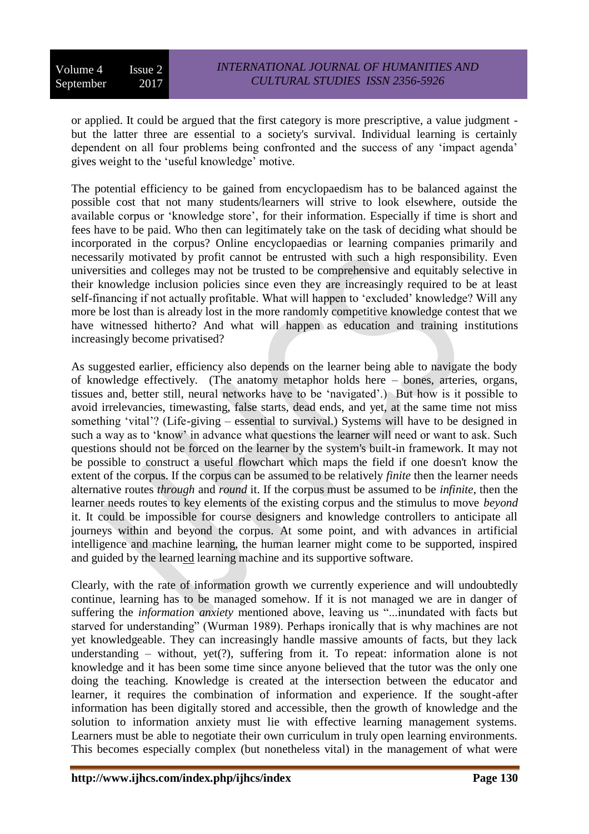or applied. It could be argued that the first category is more prescriptive, a value judgment but the latter three are essential to a society's survival. Individual learning is certainly dependent on all four problems being confronted and the success of any 'impact agenda' gives weight to the 'useful knowledge' motive.

The potential efficiency to be gained from encyclopaedism has to be balanced against the possible cost that not many students/learners will strive to look elsewhere, outside the available corpus or 'knowledge store', for their information. Especially if time is short and fees have to be paid. Who then can legitimately take on the task of deciding what should be incorporated in the corpus? Online encyclopaedias or learning companies primarily and necessarily motivated by profit cannot be entrusted with such a high responsibility. Even universities and colleges may not be trusted to be comprehensive and equitably selective in their knowledge inclusion policies since even they are increasingly required to be at least self-financing if not actually profitable. What will happen to 'excluded' knowledge? Will any more be lost than is already lost in the more randomly competitive knowledge contest that we have witnessed hitherto? And what will happen as education and training institutions increasingly become privatised?

As suggested earlier, efficiency also depends on the learner being able to navigate the body of knowledge effectively. (The anatomy metaphor holds here – bones, arteries, organs, tissues and, better still, neural networks have to be 'navigated'.) But how is it possible to avoid irrelevancies, timewasting, false starts, dead ends, and yet, at the same time not miss something 'vital'? (Life-giving – essential to survival.) Systems will have to be designed in such a way as to 'know' in advance what questions the learner will need or want to ask. Such questions should not be forced on the learner by the system's built-in framework. It may not be possible to construct a useful flowchart which maps the field if one doesn't know the extent of the corpus. If the corpus can be assumed to be relatively *finite* then the learner needs alternative routes *through* and *round* it. If the corpus must be assumed to be *infinite*, then the learner needs routes to key elements of the existing corpus and the stimulus to move *beyond* it. It could be impossible for course designers and knowledge controllers to anticipate all journeys within and beyond the corpus. At some point, and with advances in artificial intelligence and machine learning, the human learner might come to be supported, inspired and guided by the learned learning machine and its supportive software.

Clearly, with the rate of information growth we currently experience and will undoubtedly continue, learning has to be managed somehow. If it is not managed we are in danger of suffering the *information anxiety* mentioned above, leaving us "...inundated with facts but starved for understanding" (Wurman 1989). Perhaps ironically that is why machines are not yet knowledgeable. They can increasingly handle massive amounts of facts, but they lack understanding – without, yet $(?)$ , suffering from it. To repeat: information alone is not knowledge and it has been some time since anyone believed that the tutor was the only one doing the teaching. Knowledge is created at the intersection between the educator and learner, it requires the combination of information and experience. If the sought-after information has been digitally stored and accessible, then the growth of knowledge and the solution to information anxiety must lie with effective learning management systems. Learners must be able to negotiate their own curriculum in truly open learning environments. This becomes especially complex (but nonetheless vital) in the management of what were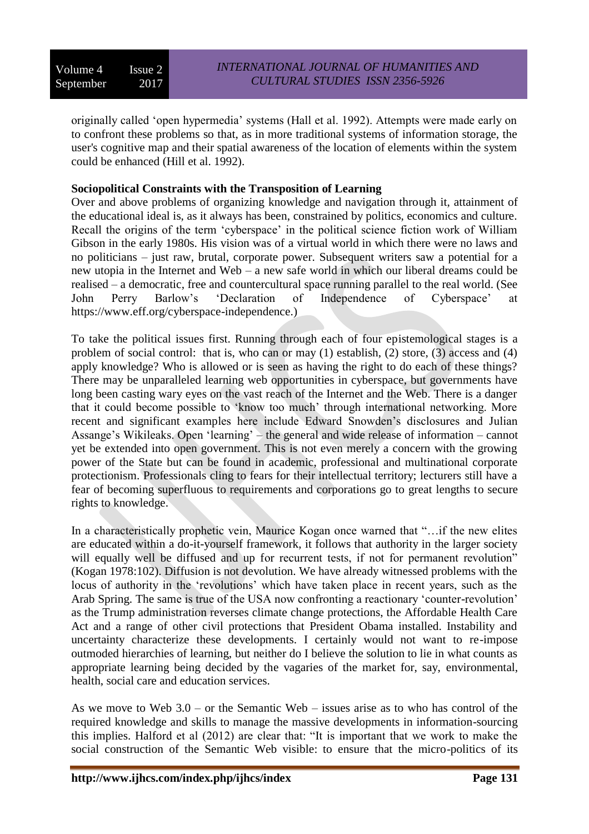originally called 'open hypermedia' systems (Hall et al. 1992). Attempts were made early on to confront these problems so that, as in more traditional systems of information storage, the user's cognitive map and their spatial awareness of the location of elements within the system could be enhanced (Hill et al. 1992).

## **Sociopolitical Constraints with the Transposition of Learning**

Over and above problems of organizing knowledge and navigation through it, attainment of the educational ideal is, as it always has been, constrained by politics, economics and culture. Recall the origins of the term 'cyberspace' in the political science fiction work of William Gibson in the early 1980s. His vision was of a virtual world in which there were no laws and no politicians – just raw, brutal, corporate power. Subsequent writers saw a potential for a new utopia in the Internet and Web – a new safe world in which our liberal dreams could be realised – a democratic, free and countercultural space running parallel to the real world. (See John Perry Barlow's 'Declaration of Independence of Cyberspace' at https://www.eff.org/cyberspace-independence.)

To take the political issues first. Running through each of four epistemological stages is a problem of social control: that is, who can or may (1) establish, (2) store, (3) access and (4) apply knowledge? Who is allowed or is seen as having the right to do each of these things? There may be unparalleled learning web opportunities in cyberspace, but governments have long been casting wary eyes on the vast reach of the Internet and the Web. There is a danger that it could become possible to 'know too much' through international networking. More recent and significant examples here include Edward Snowden's disclosures and Julian Assange's Wikileaks. Open 'learning' – the general and wide release of information – cannot yet be extended into open government. This is not even merely a concern with the growing power of the State but can be found in academic, professional and multinational corporate protectionism. Professionals cling to fears for their intellectual territory; lecturers still have a fear of becoming superfluous to requirements and corporations go to great lengths to secure rights to knowledge.

In a characteristically prophetic vein, Maurice Kogan once warned that "…if the new elites are educated within a do-it-yourself framework, it follows that authority in the larger society will equally well be diffused and up for recurrent tests, if not for permanent revolution" (Kogan 1978:102). Diffusion is not devolution. We have already witnessed problems with the locus of authority in the 'revolutions' which have taken place in recent years, such as the Arab Spring. The same is true of the USA now confronting a reactionary 'counter-revolution' as the Trump administration reverses climate change protections, the Affordable Health Care Act and a range of other civil protections that President Obama installed. Instability and uncertainty characterize these developments. I certainly would not want to re-impose outmoded hierarchies of learning, but neither do I believe the solution to lie in what counts as appropriate learning being decided by the vagaries of the market for, say, environmental, health, social care and education services.

As we move to Web 3.0 – or the Semantic Web – issues arise as to who has control of the required knowledge and skills to manage the massive developments in information-sourcing this implies. Halford et al (2012) are clear that: "It is important that we work to make the social construction of the Semantic Web visible: to ensure that the micro-politics of its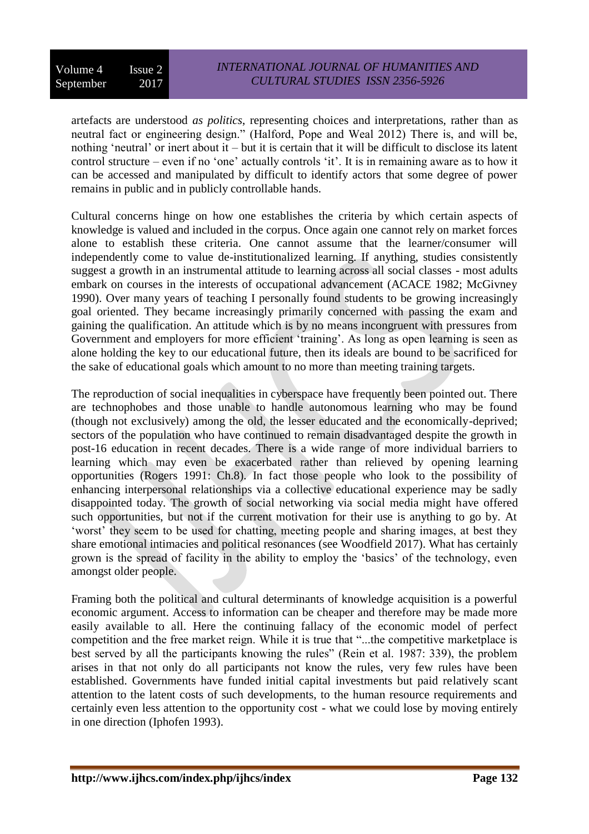artefacts are understood *as politics*, representing choices and interpretations, rather than as neutral fact or engineering design." (Halford, Pope and Weal 2012) There is, and will be, nothing 'neutral' or inert about it – but it is certain that it will be difficult to disclose its latent control structure – even if no 'one' actually controls 'it'. It is in remaining aware as to how it can be accessed and manipulated by difficult to identify actors that some degree of power remains in public and in publicly controllable hands.

Cultural concerns hinge on how one establishes the criteria by which certain aspects of knowledge is valued and included in the corpus. Once again one cannot rely on market forces alone to establish these criteria. One cannot assume that the learner/consumer will independently come to value de-institutionalized learning. If anything, studies consistently suggest a growth in an instrumental attitude to learning across all social classes - most adults embark on courses in the interests of occupational advancement (ACACE 1982; McGivney 1990). Over many years of teaching I personally found students to be growing increasingly goal oriented. They became increasingly primarily concerned with passing the exam and gaining the qualification. An attitude which is by no means incongruent with pressures from Government and employers for more efficient 'training'. As long as open learning is seen as alone holding the key to our educational future, then its ideals are bound to be sacrificed for the sake of educational goals which amount to no more than meeting training targets.

The reproduction of social inequalities in cyberspace have frequently been pointed out. There are technophobes and those unable to handle autonomous learning who may be found (though not exclusively) among the old, the lesser educated and the economically-deprived; sectors of the population who have continued to remain disadvantaged despite the growth in post-16 education in recent decades. There is a wide range of more individual barriers to learning which may even be exacerbated rather than relieved by opening learning opportunities (Rogers 1991: Ch.8). In fact those people who look to the possibility of enhancing interpersonal relationships via a collective educational experience may be sadly disappointed today. The growth of social networking via social media might have offered such opportunities, but not if the current motivation for their use is anything to go by. At 'worst' they seem to be used for chatting, meeting people and sharing images, at best they share emotional intimacies and political resonances (see Woodfield 2017). What has certainly grown is the spread of facility in the ability to employ the 'basics' of the technology, even amongst older people.

Framing both the political and cultural determinants of knowledge acquisition is a powerful economic argument. Access to information can be cheaper and therefore may be made more easily available to all. Here the continuing fallacy of the economic model of perfect competition and the free market reign. While it is true that "...the competitive marketplace is best served by all the participants knowing the rules" (Rein et al. 1987: 339), the problem arises in that not only do all participants not know the rules, very few rules have been established. Governments have funded initial capital investments but paid relatively scant attention to the latent costs of such developments, to the human resource requirements and certainly even less attention to the opportunity cost - what we could lose by moving entirely in one direction (Iphofen 1993).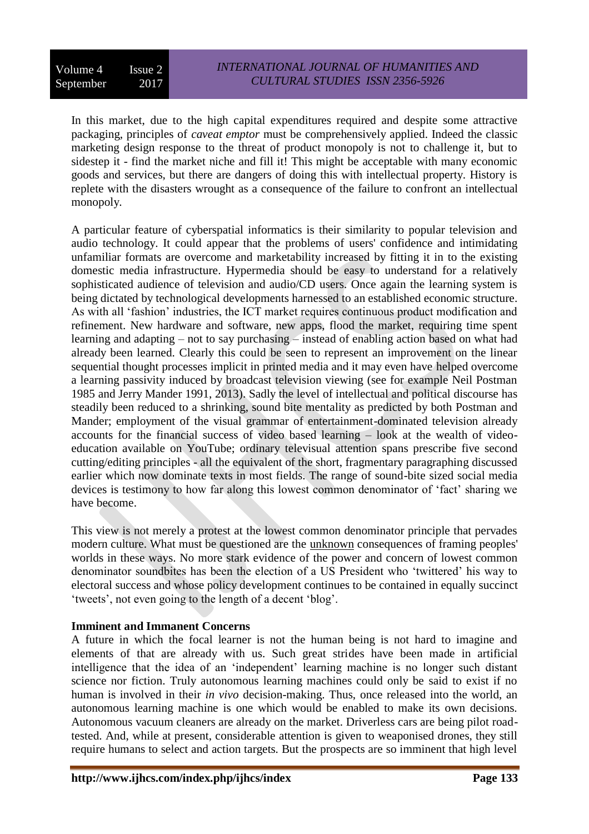In this market, due to the high capital expenditures required and despite some attractive packaging, principles of *caveat emptor* must be comprehensively applied. Indeed the classic marketing design response to the threat of product monopoly is not to challenge it, but to sidestep it - find the market niche and fill it! This might be acceptable with many economic goods and services, but there are dangers of doing this with intellectual property. History is replete with the disasters wrought as a consequence of the failure to confront an intellectual monopoly.

A particular feature of cyberspatial informatics is their similarity to popular television and audio technology. It could appear that the problems of users' confidence and intimidating unfamiliar formats are overcome and marketability increased by fitting it in to the existing domestic media infrastructure. Hypermedia should be easy to understand for a relatively sophisticated audience of television and audio/CD users. Once again the learning system is being dictated by technological developments harnessed to an established economic structure. As with all 'fashion' industries, the ICT market requires continuous product modification and refinement. New hardware and software, new apps, flood the market, requiring time spent learning and adapting – not to say purchasing – instead of enabling action based on what had already been learned. Clearly this could be seen to represent an improvement on the linear sequential thought processes implicit in printed media and it may even have helped overcome a learning passivity induced by broadcast television viewing (see for example Neil Postman 1985 and Jerry Mander 1991, 2013). Sadly the level of intellectual and political discourse has steadily been reduced to a shrinking, sound bite mentality as predicted by both Postman and Mander; employment of the visual grammar of entertainment-dominated television already accounts for the financial success of video based learning – look at the wealth of videoeducation available on YouTube; ordinary televisual attention spans prescribe five second cutting/editing principles - all the equivalent of the short, fragmentary paragraphing discussed earlier which now dominate texts in most fields. The range of sound-bite sized social media devices is testimony to how far along this lowest common denominator of 'fact' sharing we have become.

This view is not merely a protest at the lowest common denominator principle that pervades modern culture. What must be questioned are the unknown consequences of framing peoples' worlds in these ways. No more stark evidence of the power and concern of lowest common denominator soundbites has been the election of a US President who 'twittered' his way to electoral success and whose policy development continues to be contained in equally succinct 'tweets', not even going to the length of a decent 'blog'.

# **Imminent and Immanent Concerns**

A future in which the focal learner is not the human being is not hard to imagine and elements of that are already with us. Such great strides have been made in artificial intelligence that the idea of an 'independent' learning machine is no longer such distant science nor fiction. Truly autonomous learning machines could only be said to exist if no human is involved in their *in vivo* decision-making. Thus, once released into the world, an autonomous learning machine is one which would be enabled to make its own decisions. Autonomous vacuum cleaners are already on the market. Driverless cars are being pilot roadtested. And, while at present, considerable attention is given to weaponised drones, they still require humans to select and action targets. But the prospects are so imminent that high level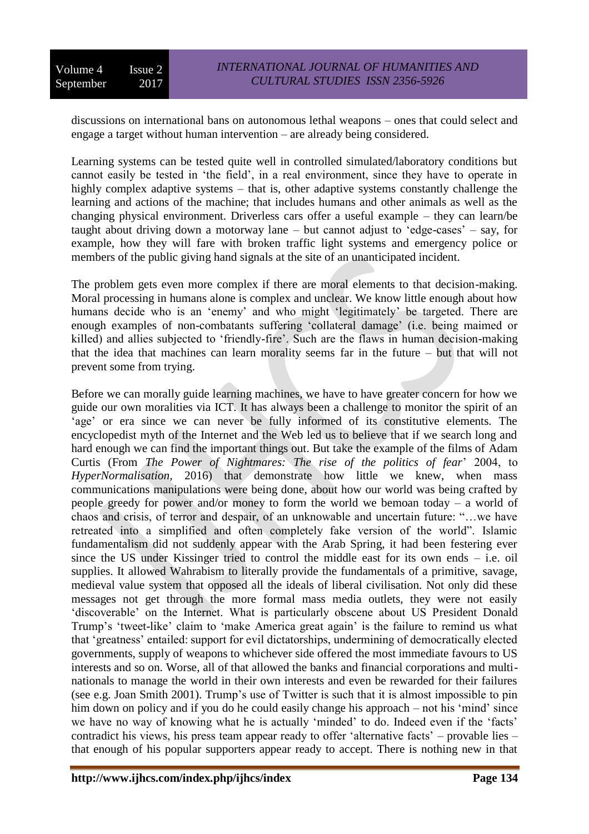discussions on international bans on autonomous lethal weapons – ones that could select and engage a target without human intervention – are already being considered.

Learning systems can be tested quite well in controlled simulated/laboratory conditions but cannot easily be tested in 'the field', in a real environment, since they have to operate in highly complex adaptive systems – that is, other adaptive systems constantly challenge the learning and actions of the machine; that includes humans and other animals as well as the changing physical environment. Driverless cars offer a useful example – they can learn/be taught about driving down a motorway lane – but cannot adjust to 'edge-cases' – say, for example, how they will fare with broken traffic light systems and emergency police or members of the public giving hand signals at the site of an unanticipated incident.

The problem gets even more complex if there are moral elements to that decision-making. Moral processing in humans alone is complex and unclear. We know little enough about how humans decide who is an 'enemy' and who might 'legitimately' be targeted. There are enough examples of non-combatants suffering 'collateral damage' (i.e. being maimed or killed) and allies subjected to 'friendly-fire'. Such are the flaws in human decision-making that the idea that machines can learn morality seems far in the future – but that will not prevent some from trying.

Before we can morally guide learning machines, we have to have greater concern for how we guide our own moralities via ICT. It has always been a challenge to monitor the spirit of an 'age' or era since we can never be fully informed of its constitutive elements. The encyclopedist myth of the Internet and the Web led us to believe that if we search long and hard enough we can find the important things out. But take the example of the films of Adam Curtis (From *The Power of Nightmares: The rise of the politics of fear*' 2004, to *HyperNormalisation*, 2016) that demonstrate how little we knew, when mass communications manipulations were being done, about how our world was being crafted by people greedy for power and/or money to form the world we bemoan today – a world of chaos and crisis, of terror and despair, of an unknowable and uncertain future: "…we have retreated into a simplified and often completely fake version of the world". Islamic fundamentalism did not suddenly appear with the Arab Spring, it had been festering ever since the US under Kissinger tried to control the middle east for its own ends – i.e. oil supplies. It allowed Wahrabism to literally provide the fundamentals of a primitive, savage, medieval value system that opposed all the ideals of liberal civilisation. Not only did these messages not get through the more formal mass media outlets, they were not easily 'discoverable' on the Internet. What is particularly obscene about US President Donald Trump's 'tweet-like' claim to 'make America great again' is the failure to remind us what that 'greatness' entailed: support for evil dictatorships, undermining of democratically elected governments, supply of weapons to whichever side offered the most immediate favours to US interests and so on. Worse, all of that allowed the banks and financial corporations and multinationals to manage the world in their own interests and even be rewarded for their failures (see e.g. Joan Smith 2001). Trump's use of Twitter is such that it is almost impossible to pin him down on policy and if you do he could easily change his approach – not his 'mind' since we have no way of knowing what he is actually 'minded' to do. Indeed even if the 'facts' contradict his views, his press team appear ready to offer 'alternative facts' – provable lies – that enough of his popular supporters appear ready to accept. There is nothing new in that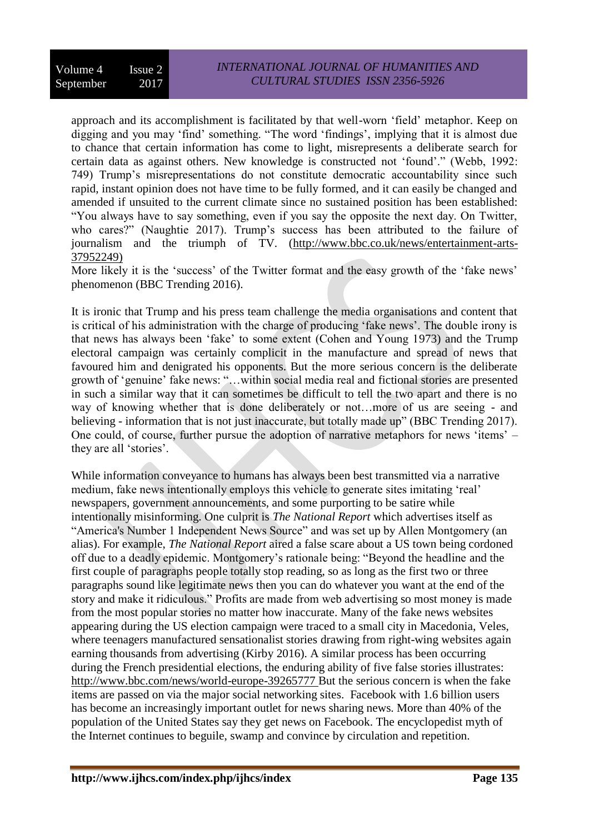approach and its accomplishment is facilitated by that well-worn 'field' metaphor. Keep on digging and you may 'find' something. "The word 'findings', implying that it is almost due to chance that certain information has come to light, misrepresents a deliberate search for certain data as against others. New knowledge is constructed not 'found'." (Webb, 1992: 749) Trump's misrepresentations do not constitute democratic accountability since such rapid, instant opinion does not have time to be fully formed, and it can easily be changed and amended if unsuited to the current climate since no sustained position has been established: "You always have to say something, even if you say the opposite the next day. On Twitter, who cares?" (Naughtie 2017). Trump's success has been attributed to the failure of journalism and the triumph of TV. [\(http://www.bbc.co.uk/news/entertainment-arts-](http://www.bbc.co.uk/news/entertainment-arts-37952249))[37952249\)](http://www.bbc.co.uk/news/entertainment-arts-37952249))

More likely it is the 'success' of the Twitter format and the easy growth of the 'fake news' phenomenon (BBC Trending 2016).

It is ironic that Trump and his press team challenge the media organisations and content that is critical of his administration with the charge of producing 'fake news'. The double irony is that news has always been 'fake' to some extent (Cohen and Young 1973) and the Trump electoral campaign was certainly complicit in the manufacture and spread of news that favoured him and denigrated his opponents. But the more serious concern is the deliberate growth of 'genuine' fake news: "…within social media real and fictional stories are presented in such a similar way that it can sometimes be difficult to tell the two apart and there is no way of knowing whether that is done deliberately or not…more of us are seeing - and believing - information that is not just inaccurate, but totally made up" (BBC Trending 2017). One could, of course, further pursue the adoption of narrative metaphors for news 'items' – they are all 'stories'.

While information conveyance to humans has always been best transmitted via a narrative medium, fake news intentionally employs this vehicle to generate sites imitating 'real' newspapers, government announcements, and some purporting to be satire while intentionally misinforming. One culprit is *The National Report* which advertises itself as "America's Number 1 Independent News Source" and was set up by Allen Montgomery (an alias). For example, *The National Report* aired a false scare about a US town being cordoned off due to a deadly epidemic. Montgomery's rationale being: "Beyond the headline and the first couple of paragraphs people totally stop reading, so as long as the first two or three paragraphs sound like legitimate news then you can do whatever you want at the end of the story and make it ridiculous." Profits are made from web advertising so most money is made from the most popular stories no matter how inaccurate. Many of the fake news websites appearing during the US election campaign were traced to a small city in Macedonia, Veles, where teenagers manufactured sensationalist stories drawing from right-wing websites again earning thousands from advertising (Kirby 2016). A similar process has been occurring during the French presidential elections, the enduring ability of five false stories illustrates: <http://www.bbc.com/news/world-europe-39265777> But the serious concern is when the fake items are passed on via the major social networking sites. Facebook with 1.6 billion users has become an increasingly important outlet for news sharing news. More than 40% of the population of the United States say they get news on Facebook. The encyclopedist myth of the Internet continues to beguile, swamp and convince by circulation and repetition.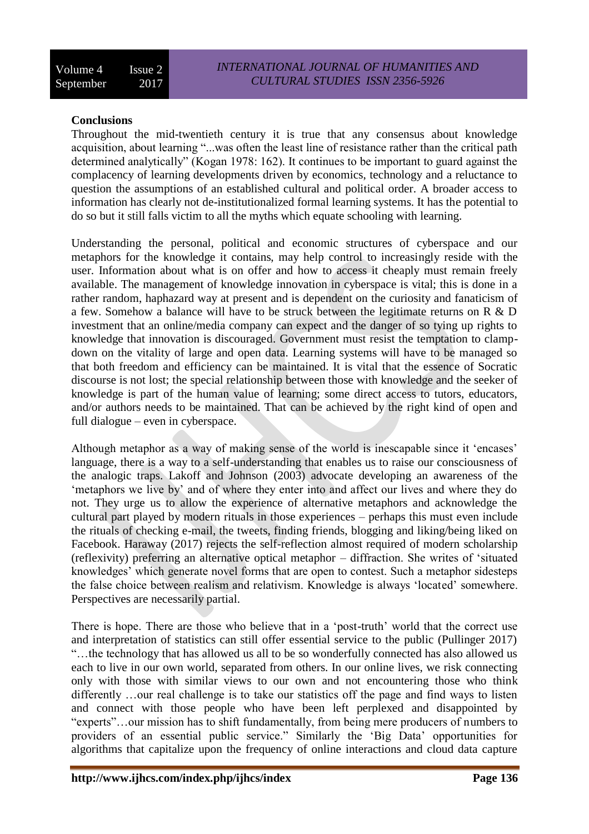### **Conclusions**

Throughout the mid-twentieth century it is true that any consensus about knowledge acquisition, about learning "...was often the least line of resistance rather than the critical path determined analytically" (Kogan 1978: 162). It continues to be important to guard against the complacency of learning developments driven by economics, technology and a reluctance to question the assumptions of an established cultural and political order. A broader access to information has clearly not de-institutionalized formal learning systems. It has the potential to do so but it still falls victim to all the myths which equate schooling with learning.

Understanding the personal, political and economic structures of cyberspace and our metaphors for the knowledge it contains, may help control to increasingly reside with the user. Information about what is on offer and how to access it cheaply must remain freely available. The management of knowledge innovation in cyberspace is vital; this is done in a rather random, haphazard way at present and is dependent on the curiosity and fanaticism of a few. Somehow a balance will have to be struck between the legitimate returns on R & D investment that an online/media company can expect and the danger of so tying up rights to knowledge that innovation is discouraged. Government must resist the temptation to clampdown on the vitality of large and open data. Learning systems will have to be managed so that both freedom and efficiency can be maintained. It is vital that the essence of Socratic discourse is not lost; the special relationship between those with knowledge and the seeker of knowledge is part of the human value of learning; some direct access to tutors, educators, and/or authors needs to be maintained. That can be achieved by the right kind of open and full dialogue – even in cyberspace.

Although metaphor as a way of making sense of the world is inescapable since it 'encases' language, there is a way to a self-understanding that enables us to raise our consciousness of the analogic traps. Lakoff and Johnson (2003) advocate developing an awareness of the 'metaphors we live by' and of where they enter into and affect our lives and where they do not. They urge us to allow the experience of alternative metaphors and acknowledge the cultural part played by modern rituals in those experiences – perhaps this must even include the rituals of checking e-mail, the tweets, finding friends, blogging and liking/being liked on Facebook. Haraway (2017) rejects the self-reflection almost required of modern scholarship (reflexivity) preferring an alternative optical metaphor – diffraction. She writes of 'situated knowledges' which generate novel forms that are open to contest. Such a metaphor sidesteps the false choice between realism and relativism. Knowledge is always 'located' somewhere. Perspectives are necessarily partial.

There is hope. There are those who believe that in a 'post-truth' world that the correct use and interpretation of statistics can still offer essential service to the public (Pullinger 2017) "…the technology that has allowed us all to be so wonderfully connected has also allowed us each to live in our own world, separated from others. In our online lives, we risk connecting only with those with similar views to our own and not encountering those who think differently …our real challenge is to take our statistics off the page and find ways to listen and connect with those people who have been left perplexed and disappointed by "experts"…our mission has to shift fundamentally, from being mere producers of numbers to providers of an essential public service." Similarly the 'Big Data' opportunities for algorithms that capitalize upon the frequency of online interactions and cloud data capture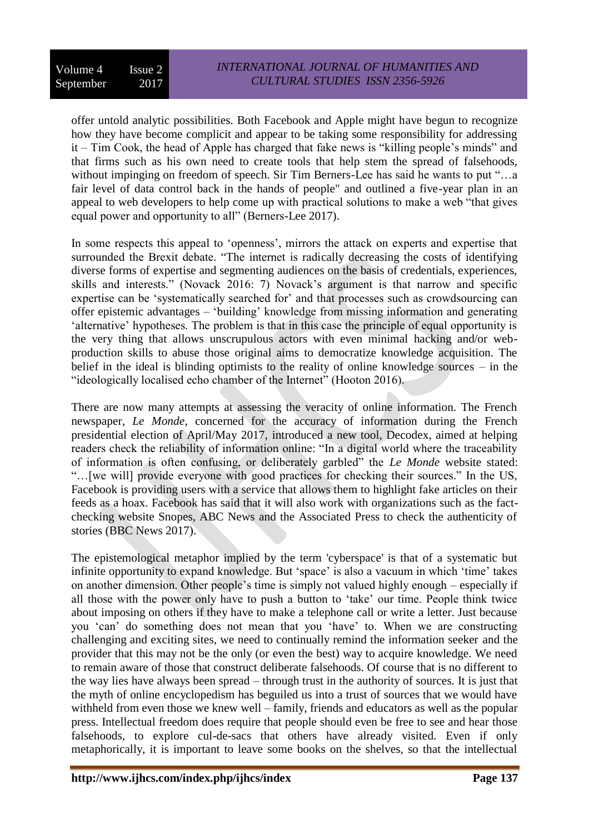offer untold analytic possibilities. Both Facebook and Apple might have begun to recognize how they have become complicit and appear to be taking some responsibility for addressing it – Tim Cook, the head of Apple has charged that fake news is "killing people's minds" and that firms such as his own need to create tools that help stem the spread of falsehoods, without impinging on freedom of speech. Sir Tim Berners-Lee has said he wants to put "...a fair level of data control back in the hands of people" and outlined a five-year plan in an appeal to web developers to help come up with practical solutions to make a web "that gives equal power and opportunity to all" (Berners-Lee 2017).

In some respects this appeal to 'openness', mirrors the attack on experts and expertise that surrounded the Brexit debate. "The internet is radically decreasing the costs of identifying diverse forms of expertise and segmenting audiences on the basis of credentials, experiences, skills and interests." (Novack 2016: 7) Novack's argument is that narrow and specific expertise can be 'systematically searched for' and that processes such as crowdsourcing can offer epistemic advantages – 'building' knowledge from missing information and generating 'alternative' hypotheses. The problem is that in this case the principle of equal opportunity is the very thing that allows unscrupulous actors with even minimal hacking and/or webproduction skills to abuse those original aims to democratize knowledge acquisition. The belief in the ideal is blinding optimists to the reality of online knowledge sources – in the "ideologically localised echo chamber of the Internet" (Hooton 2016).

There are now many attempts at assessing the veracity of online information. The French newspaper, *Le Monde*, concerned for the accuracy of information during the French presidential election of April/May 2017, introduced a new tool, Decodex, aimed at helping readers check the reliability of information online: "In a digital world where the traceability of information is often confusing, or deliberately garbled" the *Le Monde* website stated: "…[we will] provide everyone with good practices for checking their sources." In the US, Facebook is providing users with a service that allows them to highlight fake articles on their feeds as a hoax. Facebook has said that it will also work with organizations such as the factchecking website Snopes, ABC News and the Associated Press to check the authenticity of stories (BBC News 2017).

The epistemological metaphor implied by the term 'cyberspace' is that of a systematic but infinite opportunity to expand knowledge. But 'space' is also a vacuum in which 'time' takes on another dimension. Other people's time is simply not valued highly enough – especially if all those with the power only have to push a button to 'take' our time. People think twice about imposing on others if they have to make a telephone call or write a letter. Just because you 'can' do something does not mean that you 'have' to. When we are constructing challenging and exciting sites, we need to continually remind the information seeker and the provider that this may not be the only (or even the best) way to acquire knowledge. We need to remain aware of those that construct deliberate falsehoods. Of course that is no different to the way lies have always been spread – through trust in the authority of sources. It is just that the myth of online encyclopedism has beguiled us into a trust of sources that we would have withheld from even those we knew well – family, friends and educators as well as the popular press. Intellectual freedom does require that people should even be free to see and hear those falsehoods, to explore cul-de-sacs that others have already visited. Even if only metaphorically, it is important to leave some books on the shelves, so that the intellectual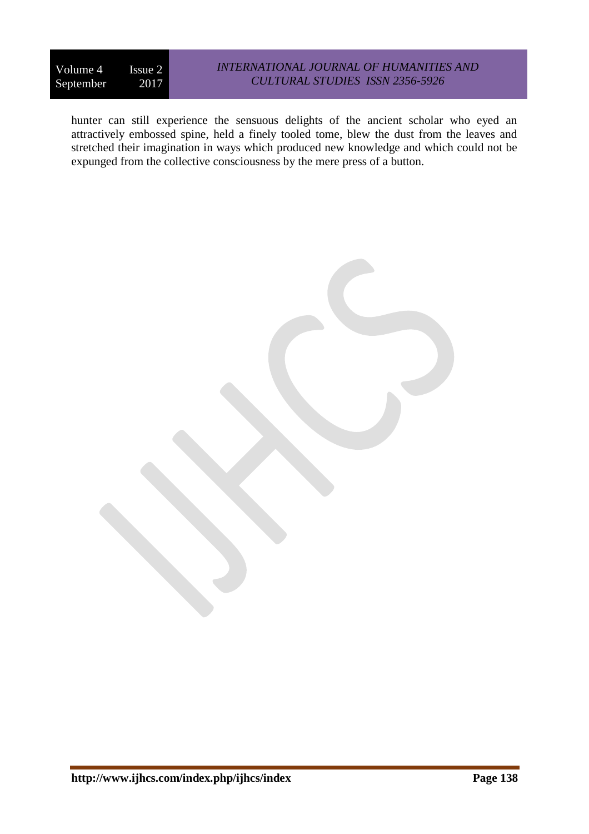hunter can still experience the sensuous delights of the ancient scholar who eyed an attractively embossed spine, held a finely tooled tome, blew the dust from the leaves and stretched their imagination in ways which produced new knowledge and which could not be expunged from the collective consciousness by the mere press of a button.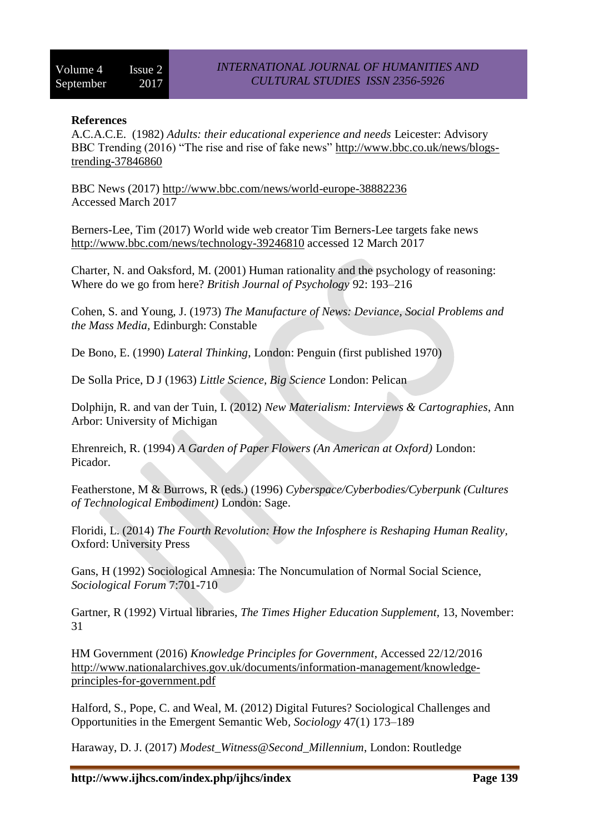### **References**

A.C.A.C.E. (1982) *Adults: their educational experience and needs* Leicester: Advisory BBC Trending (2016) "The rise and rise of fake news" [http://www.bbc.co.uk/news/blogs](http://www.bbc.co.uk/news/blogs-trending-37846860)[trending-37846860](http://www.bbc.co.uk/news/blogs-trending-37846860)

BBC News (2017)<http://www.bbc.com/news/world-europe-38882236> Accessed March 2017

Berners-Lee, Tim (2017) World wide web creator Tim Berners-Lee targets fake news <http://www.bbc.com/news/technology-39246810> accessed 12 March 2017

Charter, N. and Oaksford, M. (2001) Human rationality and the psychology of reasoning: Where do we go from here? *British Journal of Psychology* 92: 193–216

Cohen, S. and Young, J. (1973) *The Manufacture of News: Deviance, Social Problems and the Mass Media,* Edinburgh: Constable

De Bono, E. (1990) *Lateral Thinking*, London: Penguin (first published 1970)

De Solla Price, D J (1963) *Little Science, Big Science* London: Pelican

Dolphijn, R. and van der Tuin, I. (2012) *New Materialism: Interviews & Cartographies*, Ann Arbor: University of Michigan

Ehrenreich, R. (1994) *A Garden of Paper Flowers (An American at Oxford)* London: Picador.

Featherstone, M & Burrows, R (eds.) (1996) *Cyberspace/Cyberbodies/Cyberpunk (Cultures of Technological Embodiment)* London: Sage.

Floridi, L. (2014) *The Fourth Revolution: How the Infosphere is Reshaping Human Reality,*  Oxford: University Press

Gans, H (1992) Sociological Amnesia: The Noncumulation of Normal Social Science, *Sociological Forum* 7:701-710

Gartner, R (1992) Virtual libraries, *The Times Higher Education Supplement,* 13, November: 31

HM Government (2016) *Knowledge Principles for Government*, Accessed 22/12/2016 [http://www.nationalarchives.gov.uk/documents/information-management/knowledge](http://www.nationalarchives.gov.uk/documents/information-management/knowledge-principles-for-government.pdf)[principles-for-government.pdf](http://www.nationalarchives.gov.uk/documents/information-management/knowledge-principles-for-government.pdf)

Halford, S., Pope, C. and Weal, M. (2012) Digital Futures? Sociological Challenges and Opportunities in the Emergent Semantic Web*, Sociology* 47(1) 173–189

Haraway, D. J. (2017) *Modest\_Witness@Second\_Millennium*, London: Routledge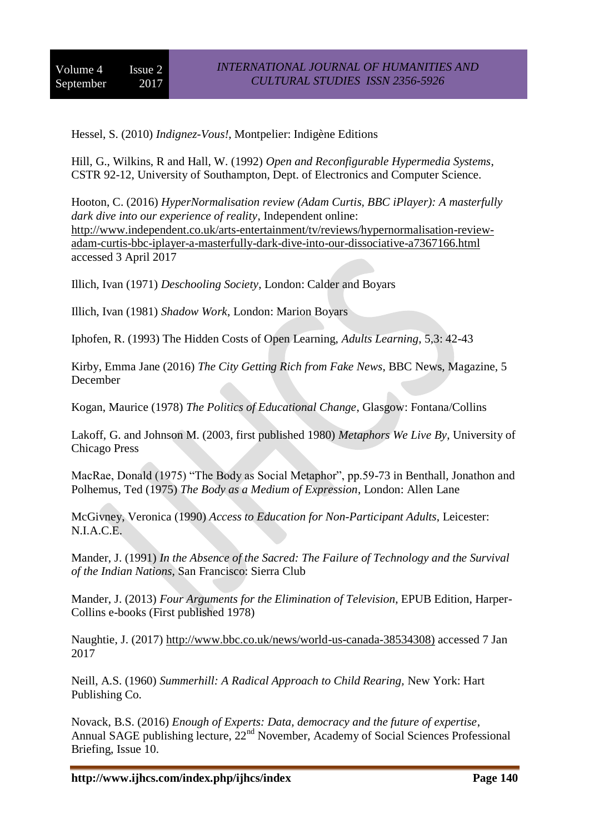Hessel, S. (2010) *Indignez-Vous!*, Montpelier: Indigène Editions

Hill, G., Wilkins, R and Hall, W. (1992) *Open and Reconfigurable Hypermedia Systems*, CSTR 92-12, University of Southampton, Dept. of Electronics and Computer Science.

Hooton, C. (2016) *HyperNormalisation review (Adam Curtis, BBC iPlayer): A masterfully dark dive into our experience of reality*, Independent online: [http://www.independent.co.uk/arts-entertainment/tv/reviews/hypernormalisation-review](http://www.independent.co.uk/arts-entertainment/tv/reviews/hypernormalisation-review-adam-curtis-bbc-iplayer-a-masterfully-dark-dive-into-our-dissociative-a7367166.html)[adam-curtis-bbc-iplayer-a-masterfully-dark-dive-into-our-dissociative-a7367166.html](http://www.independent.co.uk/arts-entertainment/tv/reviews/hypernormalisation-review-adam-curtis-bbc-iplayer-a-masterfully-dark-dive-into-our-dissociative-a7367166.html) accessed 3 April 2017

Illich, Ivan (1971) *Deschooling Society*, London: Calder and Boyars

Illich, Ivan (1981) *Shadow Work*, London: Marion Boyars

Iphofen, R. (1993) The Hidden Costs of Open Learning, *Adults Learning*, 5,3: 42-43

Kirby, Emma Jane (2016) *The City Getting Rich from Fake News*, BBC News, Magazine, 5 December

Kogan, Maurice (1978) *The Politics of Educational Change*, Glasgow: Fontana/Collins

Lakoff, G. and Johnson M. (2003, first published 1980) *Metaphors We Live By*, University of Chicago Press

MacRae, Donald (1975) "The Body as Social Metaphor", pp.59-73 in Benthall, Jonathon and Polhemus, Ted (1975) *The Body as a Medium of Expression*, London: Allen Lane

McGivney, Veronica (1990) *Access to Education for Non-Participant Adults*, Leicester: N.I.A.C.E.

Mander, J. (1991) *In the Absence of the Sacred: The Failure of Technology and the Survival of the Indian Nations*, San Francisco: Sierra Club

Mander, J. (2013) *Four Arguments for the Elimination of Television*, EPUB Edition, Harper-Collins e-books (First published 1978)

Naughtie, J. (2017) [http://www.bbc.co.uk/news/world-us-canada-38534308\)](http://www.bbc.co.uk/news/world-us-canada-38534308)) accessed 7 Jan 2017

Neill, A.S. (1960) *Summerhill: A Radical Approach to Child Rearing,* New York: Hart Publishing Co.

Novack, B.S. (2016) *Enough of Experts: Data, democracy and the future of expertise*, Annual SAGE publishing lecture, 22<sup>nd</sup> November, Academy of Social Sciences Professional Briefing, Issue 10.